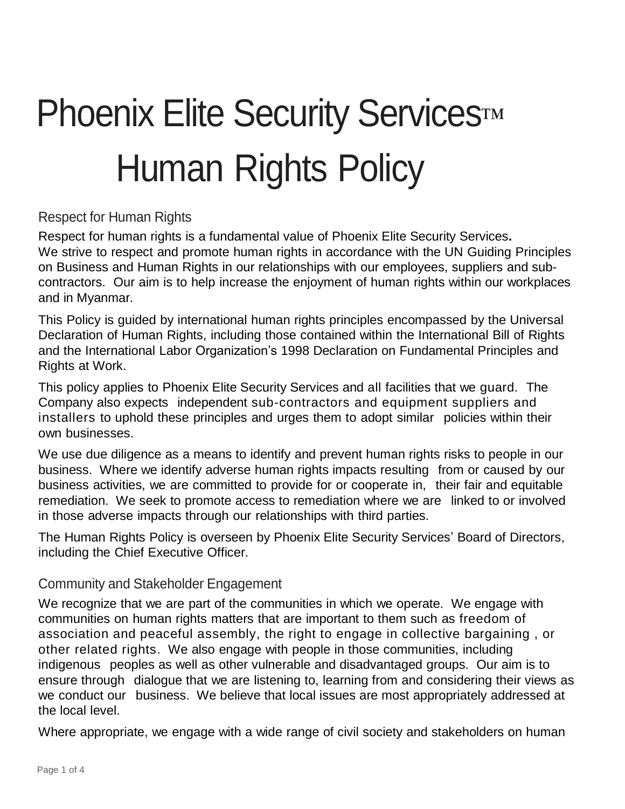# Phoenix Elite Security Services™ Human Rights Policy

#### Respect for Human Rights

Respect for human rights is a fundamental value of Phoenix Elite Security Services**.** We strive to respect and promote human rights in accordance with the UN Guiding Principles on Business and Human Rights in our relationships with our employees, suppliers and subcontractors. Our aim is to help increase the enjoyment of human rights within our workplaces and in Myanmar.

This Policy is guided by international human rights principles encompassed by the Universal Declaration of Human Rights, including those contained within the International Bill of Rights and the International Labor Organization's 1998 Declaration on Fundamental Principles and Rights at Work.

This policy applies to Phoenix Elite Security Services and all facilities that we guard. The Company also expects independent sub-contractors and equipment suppliers and installers to uphold these principles and urges them to adopt similar policies within their own businesses.

We use due diligence as a means to identify and prevent human rights risks to people in our business. Where we identify adverse human rights impacts resulting from or caused by our business activities, we are committed to provide for or cooperate in, their fair and equitable remediation. We seek to promote access to remediation where we are linked to or involved in those adverse impacts through our relationships with third parties.

The Human Rights Policy is overseen by Phoenix Elite Security Services' Board of Directors, including the Chief Executive Officer.

#### Community and Stakeholder Engagement

We recognize that we are part of the communities in which we operate. We engage with communities on human rights matters that are important to them such as freedom of association and peaceful assembly, the right to engage in collective bargaining , or other related rights. We also engage with people in those communities, including indigenous peoples as well as other vulnerable and disadvantaged groups. Our aim is to ensure through dialogue that we are listening to, learning from and considering their views as we conduct our business. We believe that local issues are most appropriately addressed at the local level.

Where appropriate, we engage with a wide range of civil society and stakeholders on human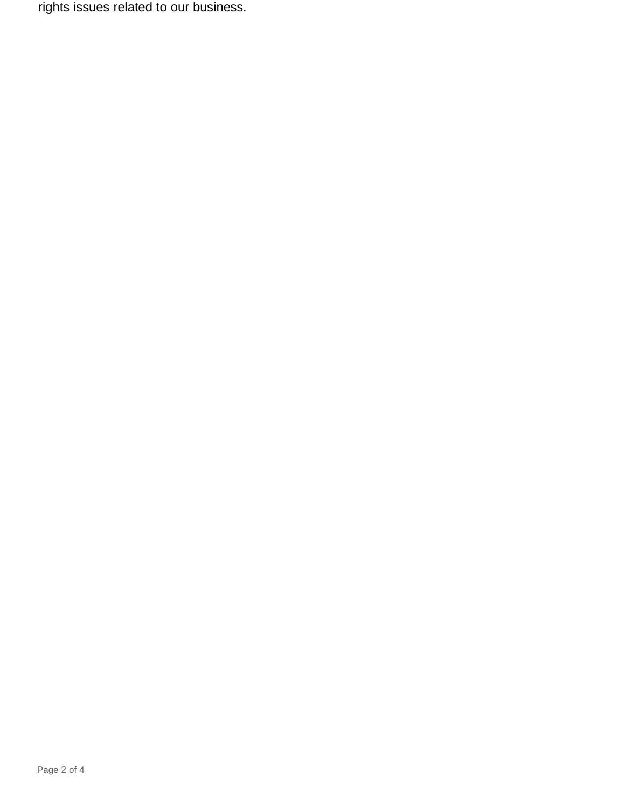rights issues related to our business.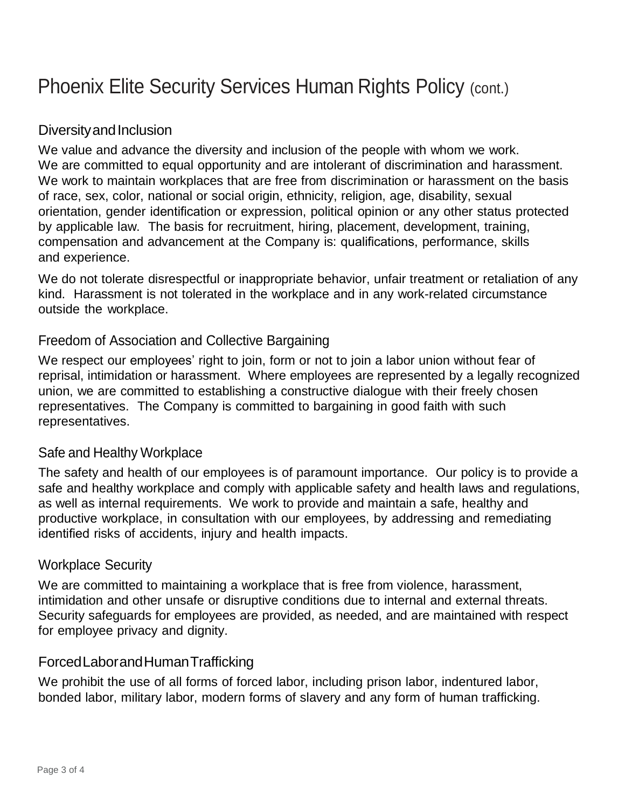# Phoenix Elite Security Services Human Rights Policy (cont.)

# Diversity and Inclusion

We value and advance the diversity and inclusion of the people with whom we work. We are committed to equal opportunity and are intolerant of discrimination and harassment. We work to maintain workplaces that are free from discrimination or harassment on the basis of race, sex, color, national or social origin, ethnicity, religion, age, disability, sexual orientation, gender identification or expression, political opinion or any other status protected by applicable law. The basis for recruitment, hiring, placement, development, training, compensation and advancement at the Company is: qualifications, performance, skills and experience.

We do not tolerate disrespectful or inappropriate behavior, unfair treatment or retaliation of any kind. Harassment is not tolerated in the workplace and in any work-related circumstance outside the workplace.

## Freedom of Association and Collective Bargaining

We respect our employees' right to join, form or not to join a labor union without fear of reprisal, intimidation or harassment. Where employees are represented by a legally recognized union, we are committed to establishing a constructive dialogue with their freely chosen representatives. The Company is committed to bargaining in good faith with such representatives.

#### Safe and Healthy Workplace

The safety and health of our employees is of paramount importance. Our policy is to provide a safe and healthy workplace and comply with applicable safety and health laws and regulations, as well as internal requirements. We work to provide and maintain a safe, healthy and productive workplace, in consultation with our employees, by addressing and remediating identified risks of accidents, injury and health impacts.

#### Workplace Security

We are committed to maintaining a workplace that is free from violence, harassment, intimidation and other unsafe or disruptive conditions due to internal and external threats. Security safeguards for employees are provided, as needed, and are maintained with respect for employee privacy and dignity.

## ForcedLaborandHumanTrafficking

We prohibit the use of all forms of forced labor, including prison labor, indentured labor, bonded labor, military labor, modern forms of slavery and any form of human trafficking.